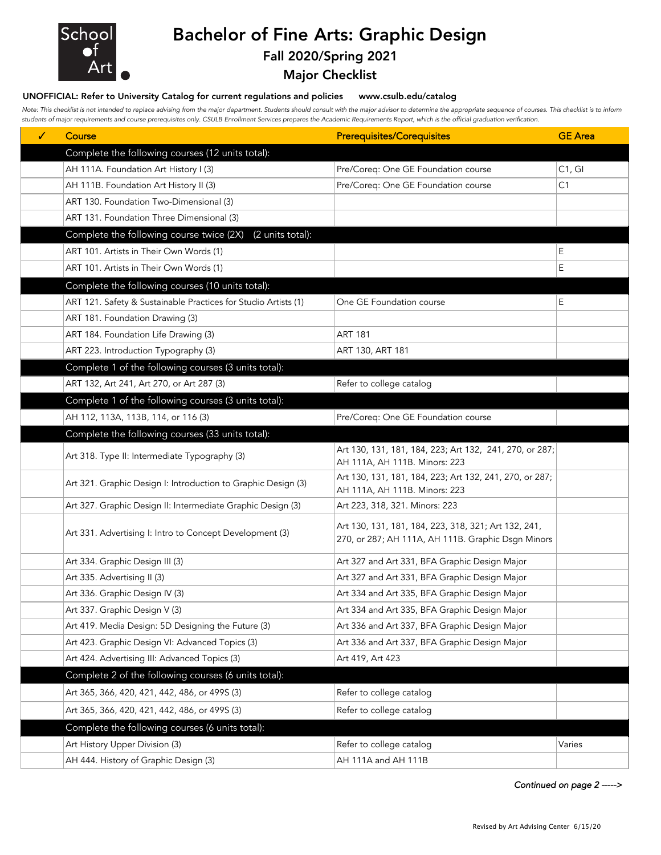

# Bachelor of Fine Arts: Graphic Design

### Fall 2020/Spring 2021

### Major Checklist

#### UNOFFICIAL: Refer to University Catalog for current regulations and policies www.csulb.edu/catalog

*Note: This checklist is not intended to replace advising from the major department. Students should consult with the major advisor to determine the appropriate sequence of courses. This checklist is to inform students of major requirements and course prerequisites only. CSULB Enrollment Services prepares the Academic Requirements Report, which is the official graduation verification.*

| ✓ | Course                                                         | <b>Prerequisites/Corequisites</b>                                                                          | <b>GE</b> Area |
|---|----------------------------------------------------------------|------------------------------------------------------------------------------------------------------------|----------------|
|   | Complete the following courses (12 units total):               |                                                                                                            |                |
|   | AH 111A. Foundation Art History I (3)                          | Pre/Coreq: One GE Foundation course                                                                        | C1, G1         |
|   | AH 111B. Foundation Art History II (3)                         | Pre/Coreq: One GE Foundation course                                                                        | C1             |
|   | ART 130. Foundation Two-Dimensional (3)                        |                                                                                                            |                |
|   | ART 131. Foundation Three Dimensional (3)                      |                                                                                                            |                |
|   | (2 units total):<br>Complete the following course twice (2X)   |                                                                                                            |                |
|   | ART 101. Artists in Their Own Words (1)                        |                                                                                                            | Е              |
|   | ART 101. Artists in Their Own Words (1)                        |                                                                                                            | E              |
|   | Complete the following courses (10 units total):               |                                                                                                            |                |
|   | ART 121. Safety & Sustainable Practices for Studio Artists (1) | One GE Foundation course                                                                                   | E              |
|   | ART 181. Foundation Drawing (3)                                |                                                                                                            |                |
|   | ART 184. Foundation Life Drawing (3)                           | <b>ART 181</b>                                                                                             |                |
|   | ART 223. Introduction Typography (3)                           | ART 130, ART 181                                                                                           |                |
|   | Complete 1 of the following courses (3 units total):           |                                                                                                            |                |
|   | ART 132, Art 241, Art 270, or Art 287 (3)                      | Refer to college catalog                                                                                   |                |
|   | Complete 1 of the following courses (3 units total):           |                                                                                                            |                |
|   | AH 112, 113A, 113B, 114, or 116 (3)                            | Pre/Coreq: One GE Foundation course                                                                        |                |
|   | Complete the following courses (33 units total):               |                                                                                                            |                |
|   | Art 318. Type II: Intermediate Typography (3)                  | Art 130, 131, 181, 184, 223; Art 132, 241, 270, or 287;                                                    |                |
|   |                                                                | AH 111A, AH 111B. Minors: 223                                                                              |                |
|   | Art 321. Graphic Design I: Introduction to Graphic Design (3)  | Art 130, 131, 181, 184, 223; Art 132, 241, 270, or 287;<br>AH 111A, AH 111B. Minors: 223                   |                |
|   | Art 327. Graphic Design II: Intermediate Graphic Design (3)    | Art 223, 318, 321. Minors: 223                                                                             |                |
|   |                                                                |                                                                                                            |                |
|   | Art 331. Advertising I: Intro to Concept Development (3)       | Art 130, 131, 181, 184, 223, 318, 321; Art 132, 241,<br>270, or 287; AH 111A, AH 111B. Graphic Dsgn Minors |                |
|   |                                                                |                                                                                                            |                |
|   | Art 334. Graphic Design III (3)                                | Art 327 and Art 331, BFA Graphic Design Major                                                              |                |
|   | Art 335. Advertising II (3)                                    | Art 327 and Art 331, BFA Graphic Design Major                                                              |                |
|   | Art 336. Graphic Design IV (3)                                 | Art 334 and Art 335, BFA Graphic Design Major                                                              |                |
|   | Art 337. Graphic Design V (3)                                  | Art 334 and Art 335, BFA Graphic Design Major                                                              |                |
|   | Art 419. Media Design: 5D Designing the Future (3)             | Art 336 and Art 337, BFA Graphic Design Major                                                              |                |
|   | Art 423. Graphic Design VI: Advanced Topics (3)                | Art 336 and Art 337, BFA Graphic Design Major                                                              |                |
|   | Art 424. Advertising III: Advanced Topics (3)                  | Art 419, Art 423                                                                                           |                |
|   | Complete 2 of the following courses (6 units total):           |                                                                                                            |                |
|   | Art 365, 366, 420, 421, 442, 486, or 499S (3)                  | Refer to college catalog                                                                                   |                |
|   | Art 365, 366, 420, 421, 442, 486, or 499S (3)                  | Refer to college catalog                                                                                   |                |
|   | Complete the following courses (6 units total):                |                                                                                                            |                |
|   | Art History Upper Division (3)                                 | Refer to college catalog                                                                                   | Varies         |
|   | AH 444. History of Graphic Design (3)                          | AH 111A and AH 111B                                                                                        |                |

*Continued on page 2 ----->*